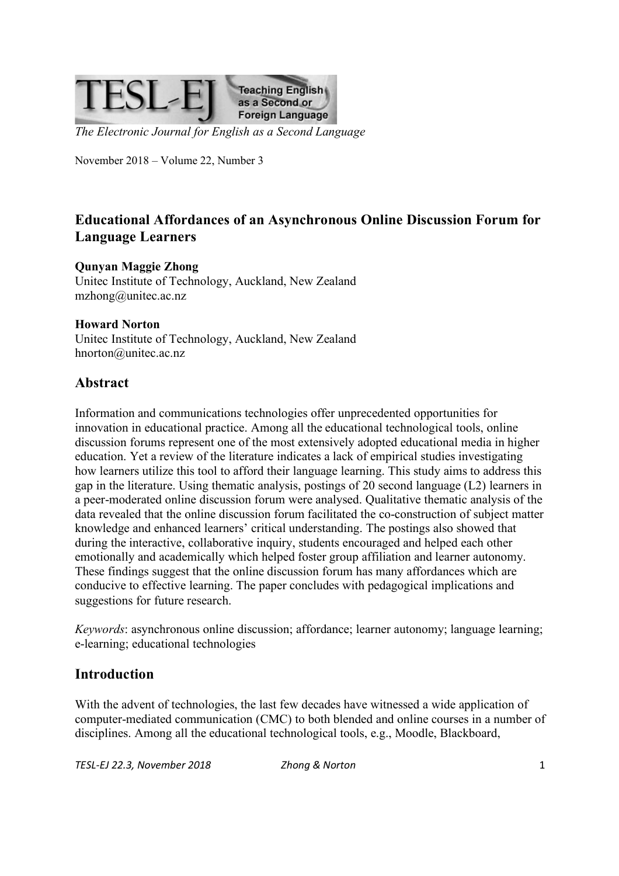

*The Electronic Journal for English as a Second Language*

November 2018 – Volume 22, Number 3

# **Educational Affordances of an Asynchronous Online Discussion Forum for Language Learners**

#### **Qunyan Maggie Zhong**

Unitec Institute of Technology, Auckland, New Zealand mzhong@unitec.ac.nz

#### **Howard Norton**

Unitec Institute of Technology, Auckland, New Zealand hnorton@unitec.ac.nz

## **Abstract**

Information and communications technologies offer unprecedented opportunities for innovation in educational practice. Among all the educational technological tools, online discussion forums represent one of the most extensively adopted educational media in higher education. Yet a review of the literature indicates a lack of empirical studies investigating how learners utilize this tool to afford their language learning. This study aims to address this gap in the literature. Using thematic analysis, postings of 20 second language (L2) learners in a peer-moderated online discussion forum were analysed. Qualitative thematic analysis of the data revealed that the online discussion forum facilitated the co-construction of subject matter knowledge and enhanced learners' critical understanding. The postings also showed that during the interactive, collaborative inquiry, students encouraged and helped each other emotionally and academically which helped foster group affiliation and learner autonomy. These findings suggest that the online discussion forum has many affordances which are conducive to effective learning. The paper concludes with pedagogical implications and suggestions for future research.

*Keywords*: asynchronous online discussion; affordance; learner autonomy; language learning; e-learning; educational technologies

## **Introduction**

With the advent of technologies, the last few decades have witnessed a wide application of computer-mediated communication (CMC) to both blended and online courses in a number of disciplines. Among all the educational technological tools, e.g., Moodle, Blackboard,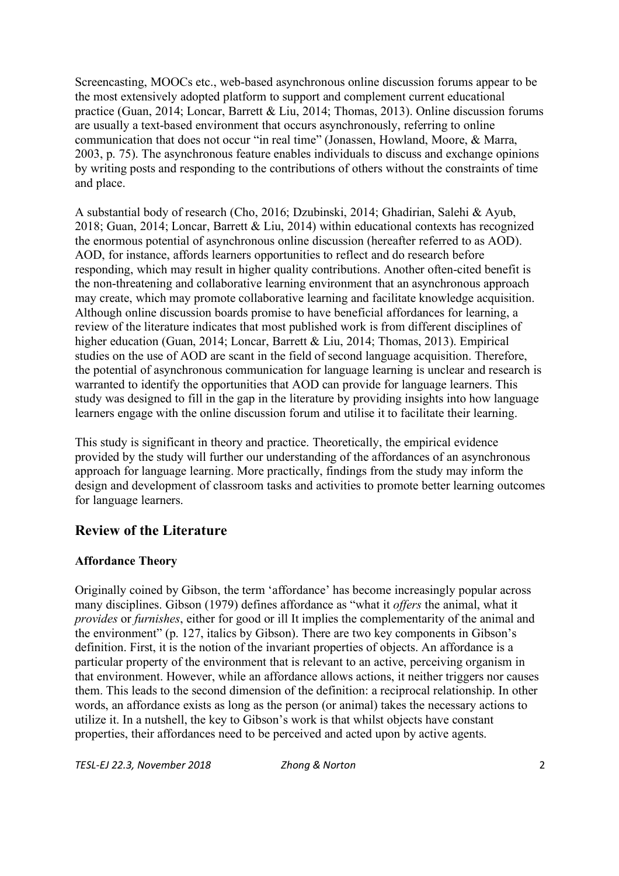Screencasting, MOOCs etc., web-based asynchronous online discussion forums appear to be the most extensively adopted platform to support and complement current educational practice (Guan, 2014; Loncar, Barrett & Liu, 2014; Thomas, 2013). Online discussion forums are usually a text-based environment that occurs asynchronously, referring to online communication that does not occur "in real time" (Jonassen, Howland, Moore, & Marra, 2003, p. 75). The asynchronous feature enables individuals to discuss and exchange opinions by writing posts and responding to the contributions of others without the constraints of time and place.

A substantial body of research (Cho, 2016; Dzubinski, 2014; Ghadirian, Salehi & Ayub, 2018; Guan, 2014; Loncar, Barrett & Liu, 2014) within educational contexts has recognized the enormous potential of asynchronous online discussion (hereafter referred to as AOD). AOD, for instance, affords learners opportunities to reflect and do research before responding, which may result in higher quality contributions. Another often-cited benefit is the non-threatening and collaborative learning environment that an asynchronous approach may create, which may promote collaborative learning and facilitate knowledge acquisition. Although online discussion boards promise to have beneficial affordances for learning, a review of the literature indicates that most published work is from different disciplines of higher education (Guan, 2014; Loncar, Barrett & Liu, 2014; Thomas, 2013). Empirical studies on the use of AOD are scant in the field of second language acquisition. Therefore, the potential of asynchronous communication for language learning is unclear and research is warranted to identify the opportunities that AOD can provide for language learners. This study was designed to fill in the gap in the literature by providing insights into how language learners engage with the online discussion forum and utilise it to facilitate their learning.

This study is significant in theory and practice. Theoretically, the empirical evidence provided by the study will further our understanding of the affordances of an asynchronous approach for language learning. More practically, findings from the study may inform the design and development of classroom tasks and activities to promote better learning outcomes for language learners.

## **Review of the Literature**

### **Affordance Theory**

Originally coined by Gibson, the term 'affordance' has become increasingly popular across many disciplines. Gibson (1979) defines affordance as "what it *offers* the animal, what it *provides* or *furnishes*, either for good or ill It implies the complementarity of the animal and the environment" (p. 127, italics by Gibson). There are two key components in Gibson's definition. First, it is the notion of the invariant properties of objects. An affordance is a particular property of the environment that is relevant to an active, perceiving organism in that environment. However, while an affordance allows actions, it neither triggers nor causes them. This leads to the second dimension of the definition: a reciprocal relationship. In other words, an affordance exists as long as the person (or animal) takes the necessary actions to utilize it. In a nutshell, the key to Gibson's work is that whilst objects have constant properties, their affordances need to be perceived and acted upon by active agents.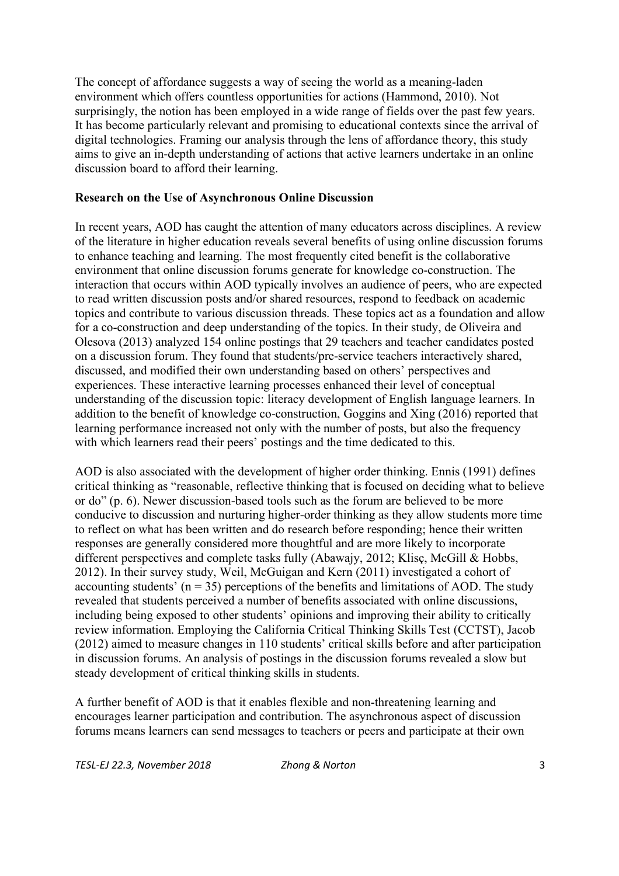The concept of affordance suggests a way of seeing the world as a meaning-laden environment which offers countless opportunities for actions (Hammond, 2010). Not surprisingly, the notion has been employed in a wide range of fields over the past few years. It has become particularly relevant and promising to educational contexts since the arrival of digital technologies. Framing our analysis through the lens of affordance theory, this study aims to give an in-depth understanding of actions that active learners undertake in an online discussion board to afford their learning.

#### **Research on the Use of Asynchronous Online Discussion**

In recent years, AOD has caught the attention of many educators across disciplines. A review of the literature in higher education reveals several benefits of using online discussion forums to enhance teaching and learning. The most frequently cited benefit is the collaborative environment that online discussion forums generate for knowledge co-construction. The interaction that occurs within AOD typically involves an audience of peers, who are expected to read written discussion posts and/or shared resources, respond to feedback on academic topics and contribute to various discussion threads. These topics act as a foundation and allow for a co-construction and deep understanding of the topics. In their study, de Oliveira and Olesova (2013) analyzed 154 online postings that 29 teachers and teacher candidates posted on a discussion forum. They found that students/pre-service teachers interactively shared, discussed, and modified their own understanding based on others' perspectives and experiences. These interactive learning processes enhanced their level of conceptual understanding of the discussion topic: literacy development of English language learners. In addition to the benefit of knowledge co-construction, Goggins and Xing (2016) reported that learning performance increased not only with the number of posts, but also the frequency with which learners read their peers' postings and the time dedicated to this.

AOD is also associated with the development of higher order thinking. Ennis (1991) defines critical thinking as "reasonable, reflective thinking that is focused on deciding what to believe or do" (p. 6). Newer discussion-based tools such as the forum are believed to be more conducive to discussion and nurturing higher-order thinking as they allow students more time to reflect on what has been written and do research before responding; hence their written responses are generally considered more thoughtful and are more likely to incorporate different perspectives and complete tasks fully (Abawajy, 2012; Klisç, McGill & Hobbs, 2012). In their survey study, Weil, McGuigan and Kern (2011) investigated a cohort of accounting students'  $(n = 35)$  perceptions of the benefits and limitations of AOD. The study revealed that students perceived a number of benefits associated with online discussions, including being exposed to other students' opinions and improving their ability to critically review information. Employing the California Critical Thinking Skills Test (CCTST), Jacob (2012) aimed to measure changes in 110 students' critical skills before and after participation in discussion forums. An analysis of postings in the discussion forums revealed a slow but steady development of critical thinking skills in students.

A further benefit of AOD is that it enables flexible and non-threatening learning and encourages learner participation and contribution. The asynchronous aspect of discussion forums means learners can send messages to teachers or peers and participate at their own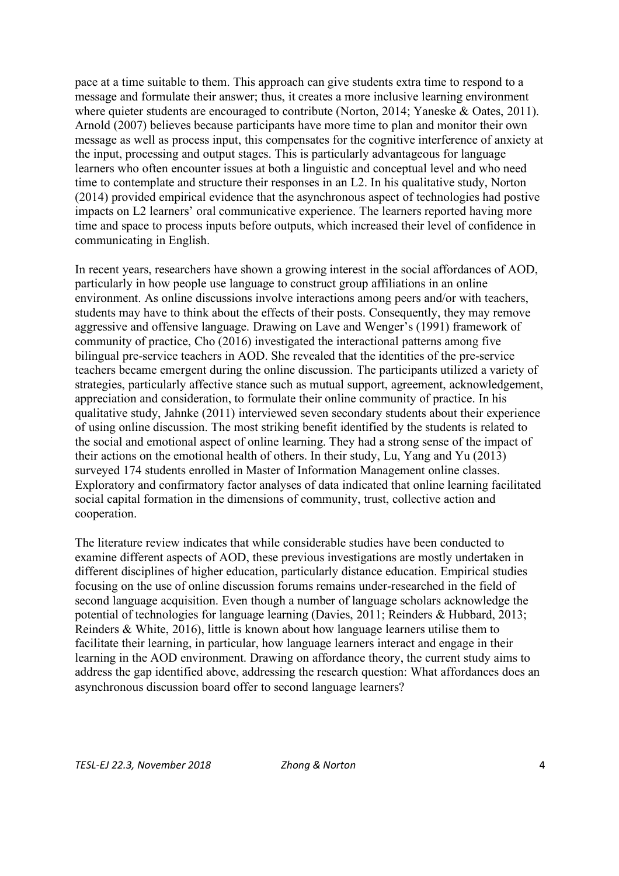pace at a time suitable to them. This approach can give students extra time to respond to a message and formulate their answer; thus, it creates a more inclusive learning environment where quieter students are encouraged to contribute (Norton, 2014; Yaneske & Oates, 2011). Arnold (2007) believes because participants have more time to plan and monitor their own message as well as process input, this compensates for the cognitive interference of anxiety at the input, processing and output stages. This is particularly advantageous for language learners who often encounter issues at both a linguistic and conceptual level and who need time to contemplate and structure their responses in an L2. In his qualitative study, Norton (2014) provided empirical evidence that the asynchronous aspect of technologies had postive impacts on L2 learners' oral communicative experience. The learners reported having more time and space to process inputs before outputs, which increased their level of confidence in communicating in English.

In recent years, researchers have shown a growing interest in the social affordances of AOD, particularly in how people use language to construct group affiliations in an online environment. As online discussions involve interactions among peers and/or with teachers, students may have to think about the effects of their posts. Consequently, they may remove aggressive and offensive language. Drawing on Lave and Wenger's (1991) framework of community of practice, Cho (2016) investigated the interactional patterns among five bilingual pre-service teachers in AOD. She revealed that the identities of the pre-service teachers became emergent during the online discussion. The participants utilized a variety of strategies, particularly affective stance such as mutual support, agreement, acknowledgement, appreciation and consideration, to formulate their online community of practice. In his qualitative study, Jahnke (2011) interviewed seven secondary students about their experience of using online discussion. The most striking benefit identified by the students is related to the social and emotional aspect of online learning. They had a strong sense of the impact of their actions on the emotional health of others. In their study, Lu, Yang and Yu (2013) surveyed 174 students enrolled in Master of Information Management online classes. Exploratory and confirmatory factor analyses of data indicated that online learning facilitated social capital formation in the dimensions of community, trust, collective action and cooperation.

The literature review indicates that while considerable studies have been conducted to examine different aspects of AOD, these previous investigations are mostly undertaken in different disciplines of higher education, particularly distance education. Empirical studies focusing on the use of online discussion forums remains under-researched in the field of second language acquisition. Even though a number of language scholars acknowledge the potential of technologies for language learning (Davies, 2011; Reinders & Hubbard, 2013; Reinders & White, 2016), little is known about how language learners utilise them to facilitate their learning, in particular, how language learners interact and engage in their learning in the AOD environment. Drawing on affordance theory, the current study aims to address the gap identified above, addressing the research question: What affordances does an asynchronous discussion board offer to second language learners?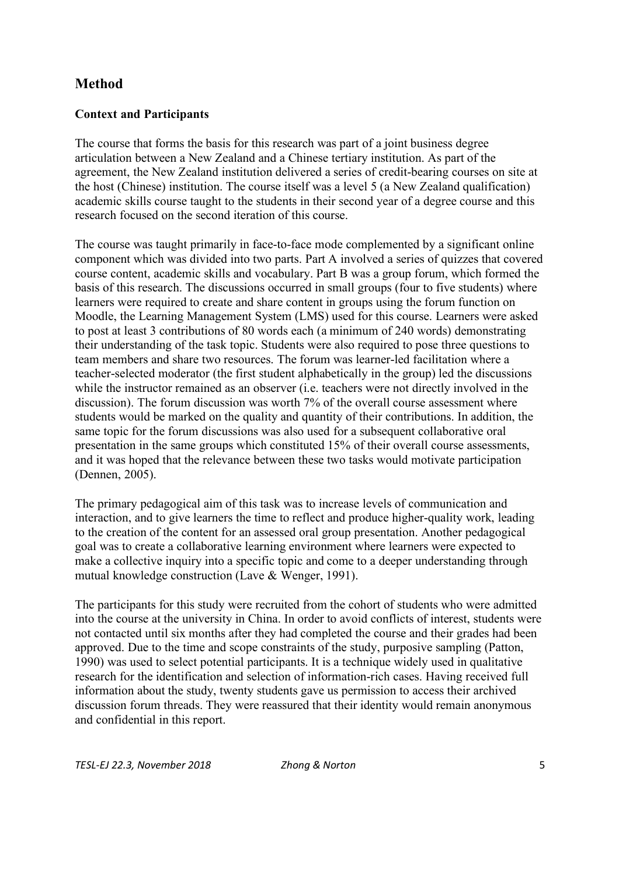# **Method**

### **Context and Participants**

The course that forms the basis for this research was part of a joint business degree articulation between a New Zealand and a Chinese tertiary institution. As part of the agreement, the New Zealand institution delivered a series of credit-bearing courses on site at the host (Chinese) institution. The course itself was a level 5 (a New Zealand qualification) academic skills course taught to the students in their second year of a degree course and this research focused on the second iteration of this course.

The course was taught primarily in face-to-face mode complemented by a significant online component which was divided into two parts. Part A involved a series of quizzes that covered course content, academic skills and vocabulary. Part B was a group forum, which formed the basis of this research. The discussions occurred in small groups (four to five students) where learners were required to create and share content in groups using the forum function on Moodle, the Learning Management System (LMS) used for this course. Learners were asked to post at least 3 contributions of 80 words each (a minimum of 240 words) demonstrating their understanding of the task topic. Students were also required to pose three questions to team members and share two resources. The forum was learner-led facilitation where a teacher-selected moderator (the first student alphabetically in the group) led the discussions while the instructor remained as an observer (i.e. teachers were not directly involved in the discussion). The forum discussion was worth 7% of the overall course assessment where students would be marked on the quality and quantity of their contributions. In addition, the same topic for the forum discussions was also used for a subsequent collaborative oral presentation in the same groups which constituted 15% of their overall course assessments, and it was hoped that the relevance between these two tasks would motivate participation (Dennen, 2005).

The primary pedagogical aim of this task was to increase levels of communication and interaction, and to give learners the time to reflect and produce higher-quality work, leading to the creation of the content for an assessed oral group presentation. Another pedagogical goal was to create a collaborative learning environment where learners were expected to make a collective inquiry into a specific topic and come to a deeper understanding through mutual knowledge construction (Lave & Wenger, 1991).

The participants for this study were recruited from the cohort of students who were admitted into the course at the university in China. In order to avoid conflicts of interest, students were not contacted until six months after they had completed the course and their grades had been approved. Due to the time and scope constraints of the study, purposive sampling (Patton, 1990) was used to select potential participants. It is a technique widely used in qualitative research for the identification and selection of information-rich cases. Having received full information about the study, twenty students gave us permission to access their archived discussion forum threads. They were reassured that their identity would remain anonymous and confidential in this report.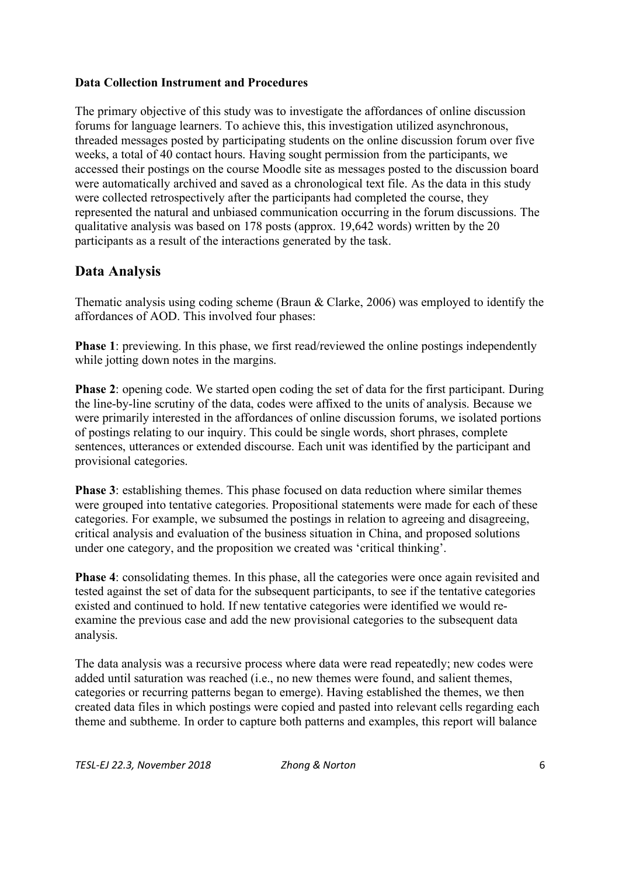### **Data Collection Instrument and Procedures**

The primary objective of this study was to investigate the affordances of online discussion forums for language learners. To achieve this, this investigation utilized asynchronous, threaded messages posted by participating students on the online discussion forum over five weeks, a total of 40 contact hours. Having sought permission from the participants, we accessed their postings on the course Moodle site as messages posted to the discussion board were automatically archived and saved as a chronological text file. As the data in this study were collected retrospectively after the participants had completed the course, they represented the natural and unbiased communication occurring in the forum discussions. The qualitative analysis was based on 178 posts (approx. 19,642 words) written by the 20 participants as a result of the interactions generated by the task.

## **Data Analysis**

Thematic analysis using coding scheme (Braun & Clarke, 2006) was employed to identify the affordances of AOD. This involved four phases:

**Phase 1**: previewing. In this phase, we first read/reviewed the online postings independently while jotting down notes in the margins.

**Phase 2**: opening code. We started open coding the set of data for the first participant. During the line-by-line scrutiny of the data, codes were affixed to the units of analysis. Because we were primarily interested in the affordances of online discussion forums, we isolated portions of postings relating to our inquiry. This could be single words, short phrases, complete sentences, utterances or extended discourse. Each unit was identified by the participant and provisional categories.

**Phase 3**: establishing themes. This phase focused on data reduction where similar themes were grouped into tentative categories. Propositional statements were made for each of these categories. For example, we subsumed the postings in relation to agreeing and disagreeing, critical analysis and evaluation of the business situation in China, and proposed solutions under one category, and the proposition we created was 'critical thinking'.

**Phase 4**: consolidating themes. In this phase, all the categories were once again revisited and tested against the set of data for the subsequent participants, to see if the tentative categories existed and continued to hold. If new tentative categories were identified we would reexamine the previous case and add the new provisional categories to the subsequent data analysis.

The data analysis was a recursive process where data were read repeatedly; new codes were added until saturation was reached (i.e., no new themes were found, and salient themes, categories or recurring patterns began to emerge). Having established the themes, we then created data files in which postings were copied and pasted into relevant cells regarding each theme and subtheme. In order to capture both patterns and examples, this report will balance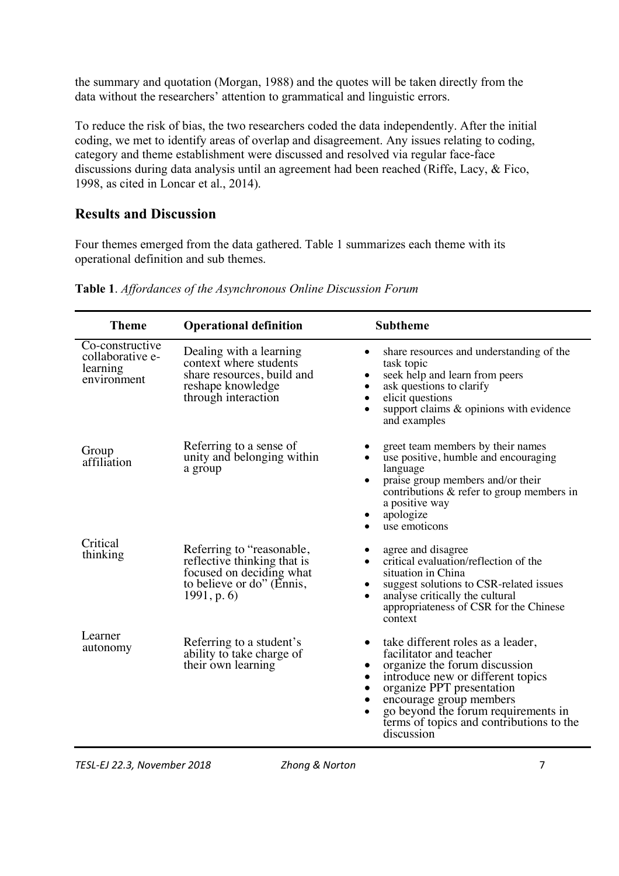the summary and quotation (Morgan, 1988) and the quotes will be taken directly from the data without the researchers' attention to grammatical and linguistic errors.

To reduce the risk of bias, the two researchers coded the data independently. After the initial coding, we met to identify areas of overlap and disagreement. Any issues relating to coding, category and theme establishment were discussed and resolved via regular face-face discussions during data analysis until an agreement had been reached (Riffe, Lacy, & Fico, 1998, as cited in Loncar et al., 2014).

# **Results and Discussion**

Four themes emerged from the data gathered. Table 1 summarizes each theme with its operational definition and sub themes.

| <b>Theme</b>                                                   | <b>Operational definition</b>                                                                                                    | <b>Subtheme</b>                                                                                                                                                                                                                                                                                                                         |
|----------------------------------------------------------------|----------------------------------------------------------------------------------------------------------------------------------|-----------------------------------------------------------------------------------------------------------------------------------------------------------------------------------------------------------------------------------------------------------------------------------------------------------------------------------------|
| Co-constructive<br>collaborative e-<br>learning<br>environment | Dealing with a learning<br>context where students<br>share resources, build and<br>reshape knowledge<br>through interaction      | share resources and understanding of the<br>٠<br>task topic<br>seek help and learn from peers<br>$\bullet$<br>ask questions to clarify<br>$\bullet$<br>elicit questions<br>$\bullet$<br>support claims & opinions with evidence<br>$\bullet$<br>and examples                                                                            |
| Group<br>affiliation                                           | Referring to a sense of<br>unity and belonging within<br>a group                                                                 | greet team members by their names<br>use positive, humble and encouraging<br>$\bullet$<br>language<br>praise group members and/or their<br>$\bullet$<br>contributions & refer to group members in<br>a positive way<br>apologize<br>use emoticons<br>$\bullet$                                                                          |
| Critical<br>thinking                                           | Referring to "reasonable,<br>reflective thinking that is<br>focused on deciding what<br>to believe or do" (Ennis,<br>1991, p. 6) | agree and disagree<br>critical evaluation/reflection of the<br>$\bullet$<br>situation in China<br>suggest solutions to CSR-related issues<br>٠<br>analyse critically the cultural<br>$\bullet$<br>appropriateness of CSR for the Chinese<br>context                                                                                     |
| Learner<br>autonomy                                            | Referring to a student's<br>ability to take charge of<br>their own learning                                                      | take different roles as a leader,<br>٠<br>facilitator and teacher<br>organize the forum discussion<br>introduce new or different topics<br>$\bullet$<br>organize PPT presentation<br>$\bullet$<br>encourage group members<br>go beyond the forum requirements in<br>$\bullet$<br>terms of topics and contributions to the<br>discussion |

**Table 1**. *Affordances of the Asynchronous Online Discussion Forum*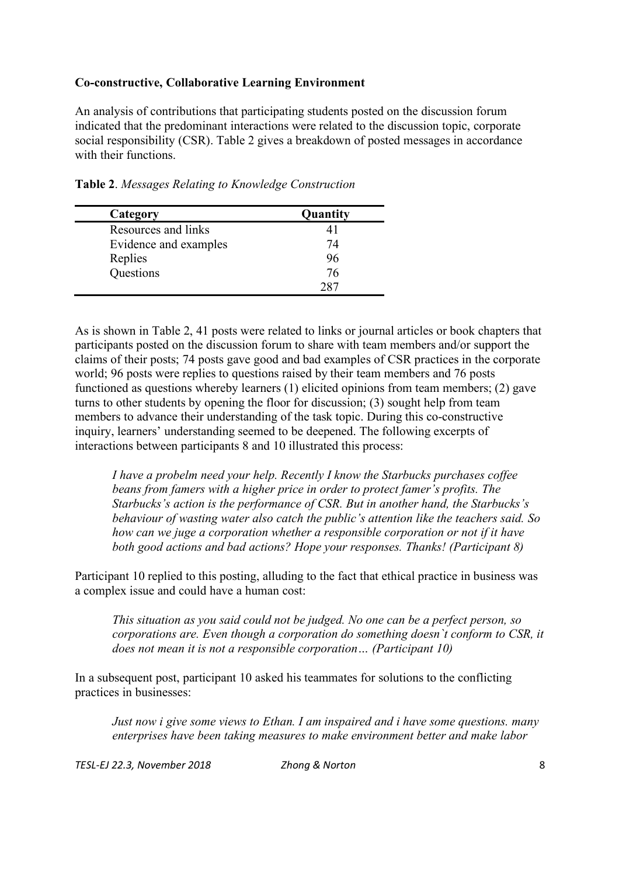### **Co-constructive, Collaborative Learning Environment**

An analysis of contributions that participating students posted on the discussion forum indicated that the predominant interactions were related to the discussion topic, corporate social responsibility (CSR). Table 2 gives a breakdown of posted messages in accordance with their functions.

| Category              | Quantity |
|-----------------------|----------|
| Resources and links   |          |
| Evidence and examples | 74       |
| Replies               | 96       |
| Questions             | 76       |
|                       | າ ຂາ     |

**Table 2**. *Messages Relating to Knowledge Construction*

As is shown in Table 2, 41 posts were related to links or journal articles or book chapters that participants posted on the discussion forum to share with team members and/or support the claims of their posts; 74 posts gave good and bad examples of CSR practices in the corporate world; 96 posts were replies to questions raised by their team members and 76 posts functioned as questions whereby learners (1) elicited opinions from team members; (2) gave turns to other students by opening the floor for discussion; (3) sought help from team members to advance their understanding of the task topic. During this co-constructive inquiry, learners' understanding seemed to be deepened. The following excerpts of interactions between participants 8 and 10 illustrated this process:

*I have a probelm need your help. Recently I know the Starbucks purchases coffee beans from famers with a higher price in order to protect famer's profits. The Starbucks's action is the performance of CSR. But in another hand, the Starbucks's behaviour of wasting water also catch the public's attention like the teachers said. So how can we juge a corporation whether a responsible corporation or not if it have both good actions and bad actions? Hope your responses. Thanks! (Participant 8)*

Participant 10 replied to this posting, alluding to the fact that ethical practice in business was a complex issue and could have a human cost:

*This situation as you said could not be judged. No one can be a perfect person, so corporations are. Even though a corporation do something doesn`t conform to CSR, it does not mean it is not a responsible corporation… (Participant 10)*

In a subsequent post, participant 10 asked his teammates for solutions to the conflicting practices in businesses:

*Just now i give some views to Ethan. I am inspaired and i have some questions. many enterprises have been taking measures to make environment better and make labor*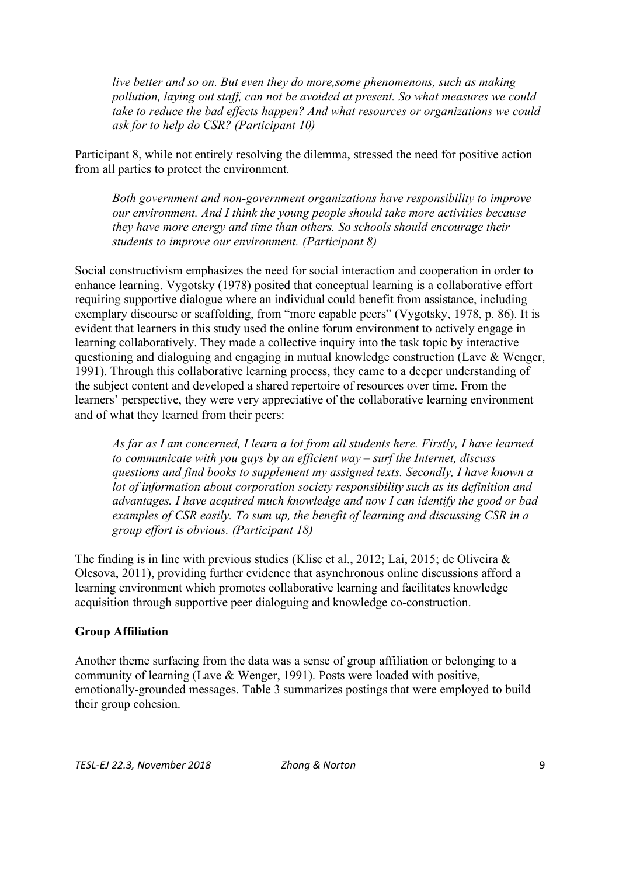*live better and so on. But even they do more,some phenomenons, such as making pollution, laying out staff, can not be avoided at present. So what measures we could take to reduce the bad effects happen? And what resources or organizations we could ask for to help do CSR? (Participant 10)*

Participant 8, while not entirely resolving the dilemma, stressed the need for positive action from all parties to protect the environment.

*Both government and non-government organizations have responsibility to improve our environment. And I think the young people should take more activities because they have more energy and time than others. So schools should encourage their students to improve our environment. (Participant 8)*

Social constructivism emphasizes the need for social interaction and cooperation in order to enhance learning. Vygotsky (1978) posited that conceptual learning is a collaborative effort requiring supportive dialogue where an individual could benefit from assistance, including exemplary discourse or scaffolding, from "more capable peers" (Vygotsky, 1978, p. 86). It is evident that learners in this study used the online forum environment to actively engage in learning collaboratively. They made a collective inquiry into the task topic by interactive questioning and dialoguing and engaging in mutual knowledge construction (Lave & Wenger, 1991). Through this collaborative learning process, they came to a deeper understanding of the subject content and developed a shared repertoire of resources over time. From the learners' perspective, they were very appreciative of the collaborative learning environment and of what they learned from their peers:

*As far as I am concerned, I learn a lot from all students here. Firstly, I have learned to communicate with you guys by an efficient way – surf the Internet, discuss questions and find books to supplement my assigned texts. Secondly, I have known a lot of information about corporation society responsibility such as its definition and advantages. I have acquired much knowledge and now I can identify the good or bad examples of CSR easily. To sum up, the benefit of learning and discussing CSR in a group effort is obvious. (Participant 18)*

The finding is in line with previous studies (Klisc et al., 2012; Lai, 2015; de Oliveira & Olesova, 2011), providing further evidence that asynchronous online discussions afford a learning environment which promotes collaborative learning and facilitates knowledge acquisition through supportive peer dialoguing and knowledge co-construction.

### **Group Affiliation**

Another theme surfacing from the data was a sense of group affiliation or belonging to a community of learning (Lave & Wenger, 1991). Posts were loaded with positive, emotionally-grounded messages. Table 3 summarizes postings that were employed to build their group cohesion.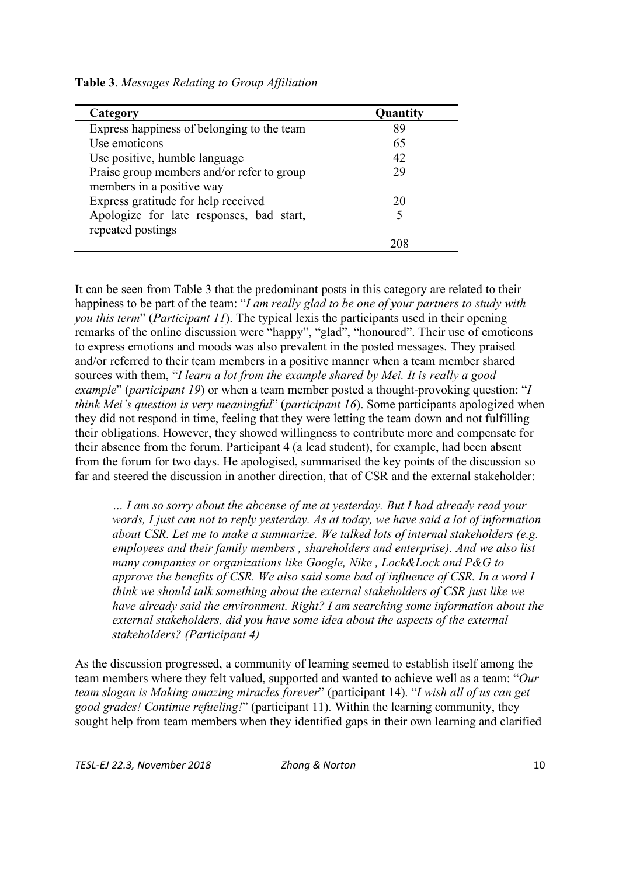|  |  |  |  | Table 3. Messages Relating to Group Affiliation |
|--|--|--|--|-------------------------------------------------|
|--|--|--|--|-------------------------------------------------|

| Category                                   | Quantity |
|--------------------------------------------|----------|
| Express happiness of belonging to the team | 89       |
| Use emoticons                              | 65       |
| Use positive, humble language              | 42       |
| Praise group members and/or refer to group | 29       |
| members in a positive way                  |          |
| Express gratitude for help received        | 20       |
| Apologize for late responses, bad start,   |          |
| repeated postings                          |          |
|                                            |          |

It can be seen from Table 3 that the predominant posts in this category are related to their happiness to be part of the team: "*I am really glad to be one of your partners to study with you this term*" (*Participant 11*). The typical lexis the participants used in their opening remarks of the online discussion were "happy", "glad", "honoured". Their use of emoticons to express emotions and moods was also prevalent in the posted messages. They praised and/or referred to their team members in a positive manner when a team member shared sources with them, "*I learn a lot from the example shared by Mei. It is really a good example*" (*participant 19*) or when a team member posted a thought-provoking question: "*I think Mei's question is very meaningful*" (*participant 16*). Some participants apologized when they did not respond in time, feeling that they were letting the team down and not fulfilling their obligations. However, they showed willingness to contribute more and compensate for their absence from the forum. Participant 4 (a lead student), for example, had been absent from the forum for two days. He apologised, summarised the key points of the discussion so far and steered the discussion in another direction, that of CSR and the external stakeholder:

*… I am so sorry about the abcense of me at yesterday. But I had already read your words, I just can not to reply yesterday. As at today, we have said a lot of information about CSR. Let me to make a summarize. We talked lots of internal stakeholders (e.g. employees and their family members , shareholders and enterprise). And we also list many companies or organizations like Google, Nike , Lock&Lock and P&G to approve the benefits of CSR. We also said some bad of influence of CSR. In a word I think we should talk something about the external stakeholders of CSR just like we have already said the environment. Right? I am searching some information about the external stakeholders, did you have some idea about the aspects of the external stakeholders? (Participant 4)*

As the discussion progressed, a community of learning seemed to establish itself among the team members where they felt valued, supported and wanted to achieve well as a team: "*Our team slogan is Making amazing miracles forever*" (participant 14). "*I wish all of us can get good grades! Continue refueling!*" (participant 11). Within the learning community, they sought help from team members when they identified gaps in their own learning and clarified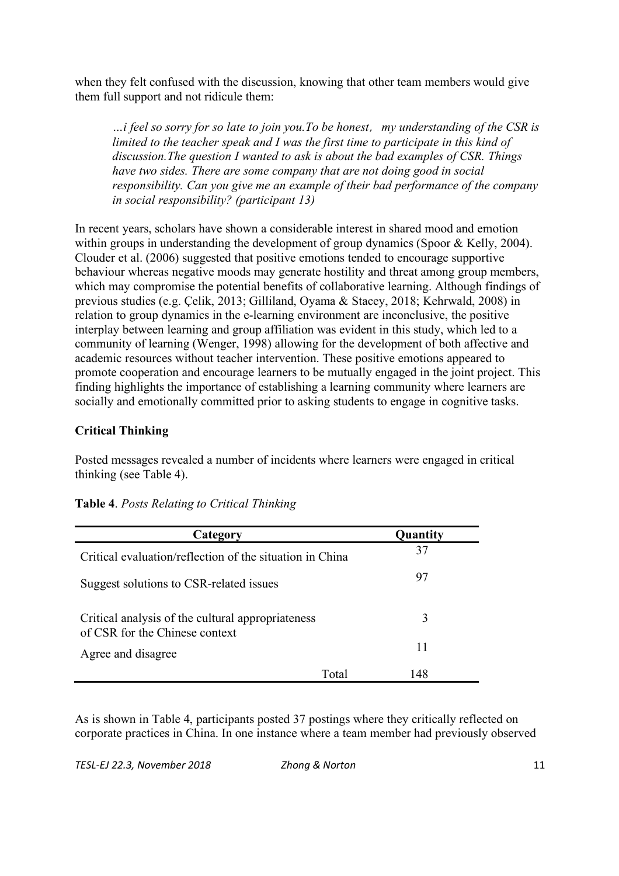when they felt confused with the discussion, knowing that other team members would give them full support and not ridicule them:

*…i feel so sorry for so late to join you.To be honest*,*my understanding of the CSR is limited to the teacher speak and I was the first time to participate in this kind of discussion.The question I wanted to ask is about the bad examples of CSR. Things have two sides. There are some company that are not doing good in social responsibility. Can you give me an example of their bad performance of the company in social responsibility? (participant 13)*

In recent years, scholars have shown a considerable interest in shared mood and emotion within groups in understanding the development of group dynamics (Spoor & Kelly, 2004). Clouder et al. (2006) suggested that positive emotions tended to encourage supportive behaviour whereas negative moods may generate hostility and threat among group members, which may compromise the potential benefits of collaborative learning. Although findings of previous studies (e.g. Çelik, 2013; Gilliland, Oyama & Stacey, 2018; Kehrwald, 2008) in relation to group dynamics in the e-learning environment are inconclusive, the positive interplay between learning and group affiliation was evident in this study, which led to a community of learning (Wenger, 1998) allowing for the development of both affective and academic resources without teacher intervention. These positive emotions appeared to promote cooperation and encourage learners to be mutually engaged in the joint project. This finding highlights the importance of establishing a learning community where learners are socially and emotionally committed prior to asking students to engage in cognitive tasks.

### **Critical Thinking**

Posted messages revealed a number of incidents where learners were engaged in critical thinking (see Table 4).

| Category                                                                            |       | Quantity |
|-------------------------------------------------------------------------------------|-------|----------|
| Critical evaluation/reflection of the situation in China                            |       | 37       |
| Suggest solutions to CSR-related issues                                             |       | 97       |
| Critical analysis of the cultural appropriateness<br>of CSR for the Chinese context |       | 3        |
| Agree and disagree                                                                  |       | 11       |
|                                                                                     | Total | 148      |

|  |  |  | Table 4. Posts Relating to Critical Thinking |  |
|--|--|--|----------------------------------------------|--|
|--|--|--|----------------------------------------------|--|

As is shown in Table 4, participants posted 37 postings where they critically reflected on corporate practices in China. In one instance where a team member had previously observed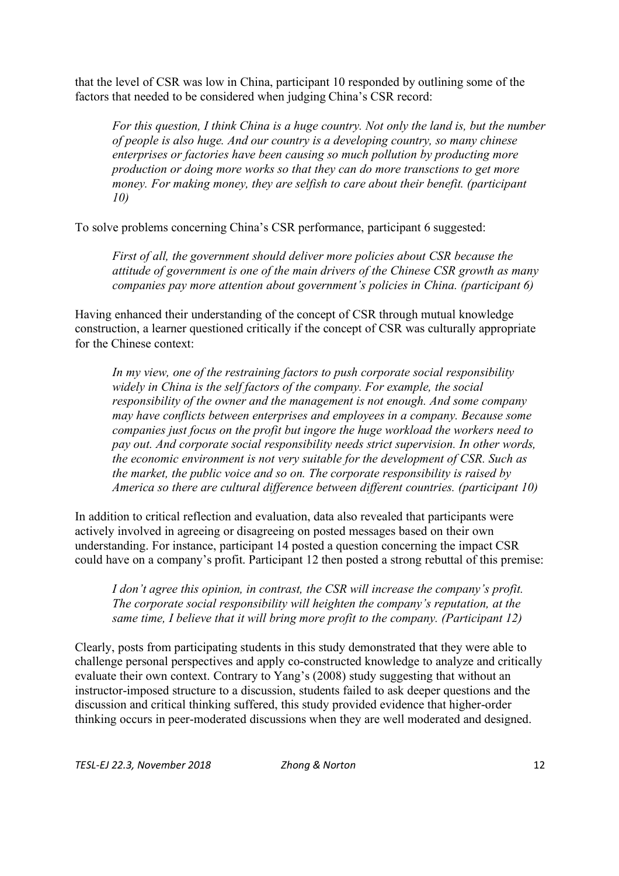that the level of CSR was low in China, participant 10 responded by outlining some of the factors that needed to be considered when judging China's CSR record:

*For this question, I think China is a huge country. Not only the land is, but the number of people is also huge. And our country is a developing country, so many chinese enterprises or factories have been causing so much pollution by producting more production or doing more works so that they can do more transctions to get more money. For making money, they are selfish to care about their benefit. (participant 10)*

To solve problems concerning China's CSR performance, participant 6 suggested:

*First of all, the government should deliver more policies about CSR because the attitude of government is one of the main drivers of the Chinese CSR growth as many companies pay more attention about government's policies in China. (participant 6)*

Having enhanced their understanding of the concept of CSR through mutual knowledge construction, a learner questioned critically if the concept of CSR was culturally appropriate for the Chinese context:

*In my view, one of the restraining factors to push corporate social responsibility widely in China is the self factors of the company. For example, the social responsibility of the owner and the management is not enough. And some company may have conflicts between enterprises and employees in a company. Because some companies just focus on the profit but ingore the huge workload the workers need to pay out. And corporate social responsibility needs strict supervision. In other words, the economic environment is not very suitable for the development of CSR. Such as the market, the public voice and so on. The corporate responsibility is raised by America so there are cultural difference between different countries. (participant 10)*

In addition to critical reflection and evaluation, data also revealed that participants were actively involved in agreeing or disagreeing on posted messages based on their own understanding. For instance, participant 14 posted a question concerning the impact CSR could have on a company's profit. Participant 12 then posted a strong rebuttal of this premise:

*I don't agree this opinion, in contrast, the CSR will increase the company's profit. The corporate social responsibility will heighten the company's reputation, at the same time, I believe that it will bring more profit to the company. (Participant 12)*

Clearly, posts from participating students in this study demonstrated that they were able to challenge personal perspectives and apply co-constructed knowledge to analyze and critically evaluate their own context. Contrary to Yang's (2008) study suggesting that without an instructor-imposed structure to a discussion, students failed to ask deeper questions and the discussion and critical thinking suffered, this study provided evidence that higher-order thinking occurs in peer-moderated discussions when they are well moderated and designed.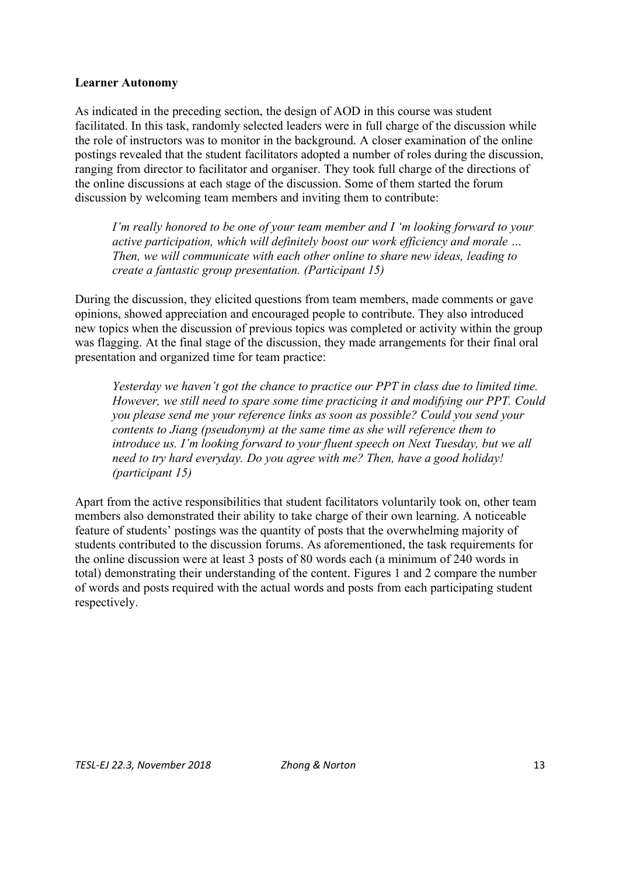#### **Learner Autonomy**

As indicated in the preceding section, the design of AOD in this course was student facilitated. In this task, randomly selected leaders were in full charge of the discussion while the role of instructors was to monitor in the background. A closer examination of the online postings revealed that the student facilitators adopted a number of roles during the discussion, ranging from director to facilitator and organiser. They took full charge of the directions of the online discussions at each stage of the discussion. Some of them started the forum discussion by welcoming team members and inviting them to contribute:

*I'm really honored to be one of your team member and I 'm looking forward to your active participation, which will definitely boost our work efficiency and morale … Then, we will communicate with each other online to share new ideas, leading to create a fantastic group presentation. (Participant 15)*

During the discussion, they elicited questions from team members, made comments or gave opinions, showed appreciation and encouraged people to contribute. They also introduced new topics when the discussion of previous topics was completed or activity within the group was flagging. At the final stage of the discussion, they made arrangements for their final oral presentation and organized time for team practice:

*Yesterday we haven't got the chance to practice our PPT in class due to limited time. However, we still need to spare some time practicing it and modifying our PPT. Could you please send me your reference links as soon as possible? Could you send your contents to Jiang (pseudonym) at the same time as she will reference them to introduce us. I'm looking forward to your fluent speech on Next Tuesday, but we all need to try hard everyday. Do you agree with me? Then, have a good holiday! (participant 15)*

Apart from the active responsibilities that student facilitators voluntarily took on, other team members also demonstrated their ability to take charge of their own learning. A noticeable feature of students' postings was the quantity of posts that the overwhelming majority of students contributed to the discussion forums. As aforementioned, the task requirements for the online discussion were at least 3 posts of 80 words each (a minimum of 240 words in total) demonstrating their understanding of the content. Figures 1 and 2 compare the number of words and posts required with the actual words and posts from each participating student respectively.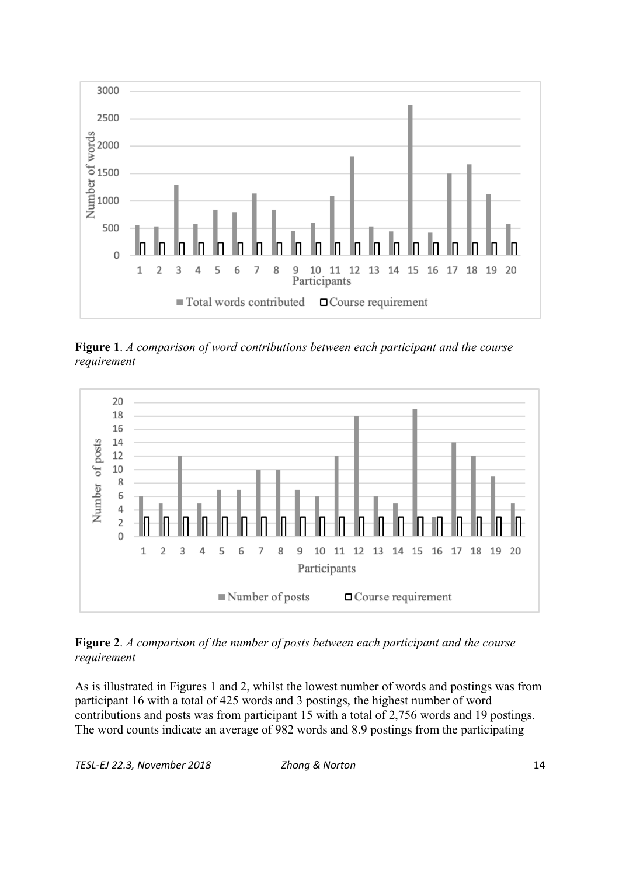

**Figure 1**. *A comparison of word contributions between each participant and the course requirement*



**Figure 2**. *A comparison of the number of posts between each participant and the course requirement*

As is illustrated in Figures 1 and 2, whilst the lowest number of words and postings was from participant 16 with a total of 425 words and 3 postings, the highest number of word contributions and posts was from participant 15 with a total of 2,756 words and 19 postings. The word counts indicate an average of 982 words and 8.9 postings from the participating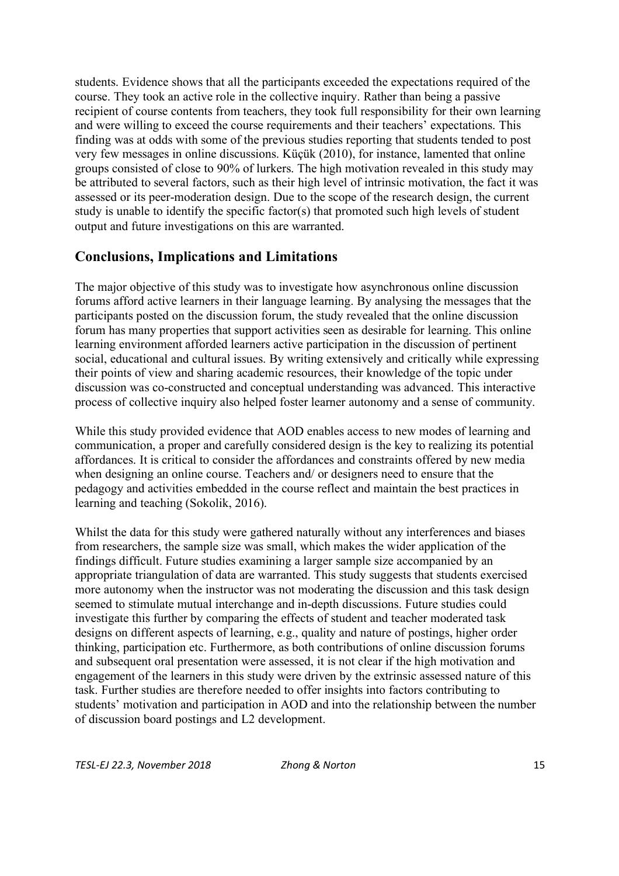students. Evidence shows that all the participants exceeded the expectations required of the course. They took an active role in the collective inquiry. Rather than being a passive recipient of course contents from teachers, they took full responsibility for their own learning and were willing to exceed the course requirements and their teachers' expectations. This finding was at odds with some of the previous studies reporting that students tended to post very few messages in online discussions. Küçük (2010), for instance, lamented that online groups consisted of close to 90% of lurkers. The high motivation revealed in this study may be attributed to several factors, such as their high level of intrinsic motivation, the fact it was assessed or its peer-moderation design. Due to the scope of the research design, the current study is unable to identify the specific factor(s) that promoted such high levels of student output and future investigations on this are warranted.

### **Conclusions, Implications and Limitations**

The major objective of this study was to investigate how asynchronous online discussion forums afford active learners in their language learning. By analysing the messages that the participants posted on the discussion forum, the study revealed that the online discussion forum has many properties that support activities seen as desirable for learning. This online learning environment afforded learners active participation in the discussion of pertinent social, educational and cultural issues. By writing extensively and critically while expressing their points of view and sharing academic resources, their knowledge of the topic under discussion was co-constructed and conceptual understanding was advanced. This interactive process of collective inquiry also helped foster learner autonomy and a sense of community.

While this study provided evidence that AOD enables access to new modes of learning and communication, a proper and carefully considered design is the key to realizing its potential affordances. It is critical to consider the affordances and constraints offered by new media when designing an online course. Teachers and/ or designers need to ensure that the pedagogy and activities embedded in the course reflect and maintain the best practices in learning and teaching (Sokolik, 2016).

Whilst the data for this study were gathered naturally without any interferences and biases from researchers, the sample size was small, which makes the wider application of the findings difficult. Future studies examining a larger sample size accompanied by an appropriate triangulation of data are warranted. This study suggests that students exercised more autonomy when the instructor was not moderating the discussion and this task design seemed to stimulate mutual interchange and in-depth discussions. Future studies could investigate this further by comparing the effects of student and teacher moderated task designs on different aspects of learning, e.g., quality and nature of postings, higher order thinking, participation etc. Furthermore, as both contributions of online discussion forums and subsequent oral presentation were assessed, it is not clear if the high motivation and engagement of the learners in this study were driven by the extrinsic assessed nature of this task. Further studies are therefore needed to offer insights into factors contributing to students' motivation and participation in AOD and into the relationship between the number of discussion board postings and L2 development.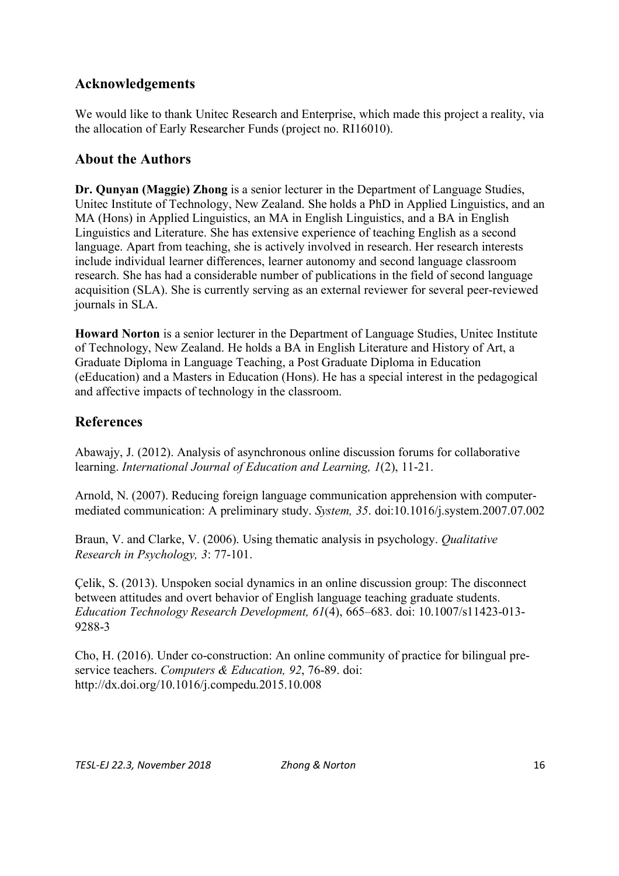## **Acknowledgements**

We would like to thank Unitec Research and Enterprise, which made this project a reality, via the allocation of Early Researcher Funds (project no. RI16010).

# **About the Authors**

**Dr. Qunyan (Maggie) Zhong** is a senior lecturer in the Department of Language Studies, Unitec Institute of Technology, New Zealand. She holds a PhD in Applied Linguistics, and an MA (Hons) in Applied Linguistics, an MA in English Linguistics, and a BA in English Linguistics and Literature. She has extensive experience of teaching English as a second language. Apart from teaching, she is actively involved in research. Her research interests include individual learner differences, learner autonomy and second language classroom research. She has had a considerable number of publications in the field of second language acquisition (SLA). She is currently serving as an external reviewer for several peer-reviewed journals in SLA.

**Howard Norton** is a senior lecturer in the Department of Language Studies, Unitec Institute of Technology, New Zealand. He holds a BA in English Literature and History of Art, a Graduate Diploma in Language Teaching, a Post Graduate Diploma in Education (eEducation) and a Masters in Education (Hons). He has a special interest in the pedagogical and affective impacts of technology in the classroom.

# **References**

Abawajy, J. (2012). Analysis of asynchronous online discussion forums for collaborative learning. *International Journal of Education and Learning, 1*(2), 11-21.

Arnold, N. (2007). Reducing foreign language communication apprehension with computermediated communication: A preliminary study. *System, 35*. doi:10.1016/j.system.2007.07.002

Braun, V. and Clarke, V. (2006). Using thematic analysis in psychology. *Qualitative Research in Psychology, 3*: 77-101.

Çelik, S. (2013). Unspoken social dynamics in an online discussion group: The disconnect between attitudes and overt behavior of English language teaching graduate students. *Education Technology Research Development, 61*(4), 665–683. doi: 10.1007/s11423-013- 9288-3

Cho, H. (2016). Under co-construction: An online community of practice for bilingual preservice teachers. *Computers & Education, 92*, 76-89. doi: http://dx.doi.org/10.1016/j.compedu.2015.10.008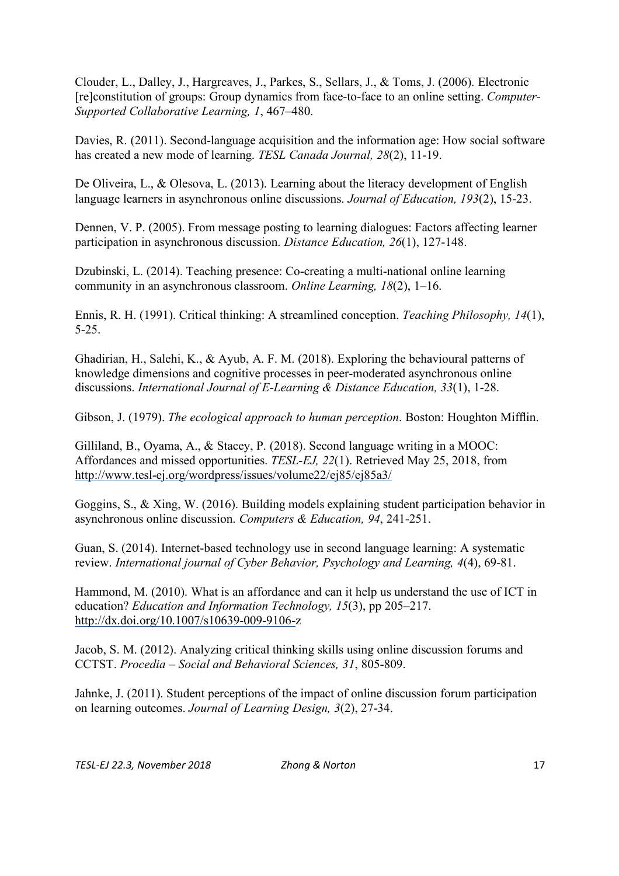Clouder, L., Dalley, J., Hargreaves, J., Parkes, S., Sellars, J., & Toms, J. (2006). Electronic [re]constitution of groups: Group dynamics from face-to-face to an online setting. *Computer-Supported Collaborative Learning, 1*, 467–480.

Davies, R. (2011). Second-language acquisition and the information age: How social software has created a new mode of learning. *TESL Canada Journal, 28*(2), 11-19.

De Oliveira, L., & Olesova, L. (2013). Learning about the literacy development of English language learners in asynchronous online discussions. *Journal of Education, 193*(2), 15-23.

Dennen, V. P. (2005). From message posting to learning dialogues: Factors affecting learner participation in asynchronous discussion. *Distance Education, 26*(1), 127-148.

Dzubinski, L. (2014). Teaching presence: Co-creating a multi-national online learning community in an asynchronous classroom. *Online Learning, 18*(2), 1–16.

Ennis, R. H. (1991). Critical thinking: A streamlined conception. *Teaching Philosophy, 14*(1), 5-25.

Ghadirian, H., Salehi, K., & Ayub, A. F. M. (2018). Exploring the behavioural patterns of knowledge dimensions and cognitive processes in peer-moderated asynchronous online discussions. *International Journal of E-Learning & Distance Education, 33*(1), 1-28.

Gibson, J. (1979). *The ecological approach to human perception*. Boston: Houghton Mifflin.

Gilliland, B., Oyama, A., & Stacey, P. (2018). Second language writing in a MOOC: Affordances and missed opportunities. *TESL-EJ, 22*(1). Retrieved May 25, 2018, from http://www.tesl-ej.org/wordpress/issues/volume22/ej85/ej85a3/

Goggins, S., & Xing, W. (2016). Building models explaining student participation behavior in asynchronous online discussion. *Computers & Education, 94*, 241-251.

Guan, S. (2014). Internet-based technology use in second language learning: A systematic review. *International journal of Cyber Behavior, Psychology and Learning, 4*(4), 69-81.

Hammond, M. (2010). What is an affordance and can it help us understand the use of ICT in education? *Education and Information Technology, 15*(3), pp 205–217. http://dx.doi.org/10.1007/s10639-009-9106-z

Jacob, S. M. (2012). Analyzing critical thinking skills using online discussion forums and CCTST. *Procedia – Social and Behavioral Sciences, 31*, 805-809.

Jahnke, J. (2011). Student perceptions of the impact of online discussion forum participation on learning outcomes. *Journal of Learning Design, 3*(2), 27-34.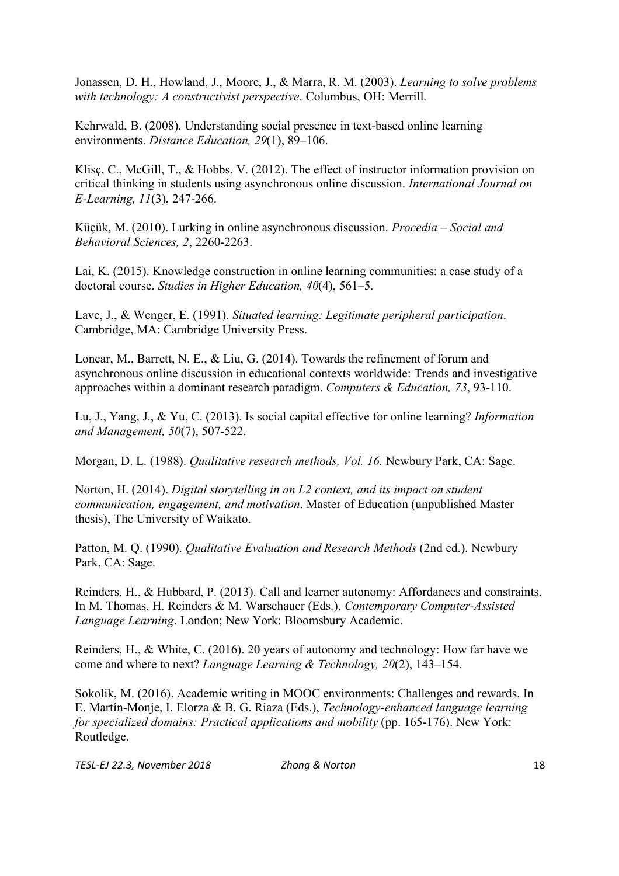Jonassen, D. H., Howland, J., Moore, J., & Marra, R. M. (2003). *Learning to solve problems with technology: A constructivist perspective*. Columbus, OH: Merrill.

Kehrwald, B. (2008). Understanding social presence in text-based online learning environments. *Distance Education, 29*(1), 89–106.

Klisc, C., McGill, T., & Hobbs, V. (2012). The effect of instructor information provision on critical thinking in students using asynchronous online discussion. *International Journal on E-Learning, 11*(3), 247-266.

Küçük, M. (2010). Lurking in online asynchronous discussion. *Procedia – Social and Behavioral Sciences, 2*, 2260-2263.

Lai, K. (2015). Knowledge construction in online learning communities: a case study of a doctoral course. *Studies in Higher Education, 40*(4), 561–5.

Lave, J., & Wenger, E. (1991). *Situated learning: Legitimate peripheral participation*. Cambridge, MA: Cambridge University Press.

Loncar, M., Barrett, N. E., & Liu, G. (2014). Towards the refinement of forum and asynchronous online discussion in educational contexts worldwide: Trends and investigative approaches within a dominant research paradigm. *Computers & Education, 73*, 93-110.

Lu, J., Yang, J., & Yu, C. (2013). Is social capital effective for online learning? *Information and Management, 50*(7), 507-522.

Morgan, D. L. (1988). *Qualitative research methods, Vol. 16*. Newbury Park, CA: Sage.

Norton, H. (2014). *Digital storytelling in an L2 context, and its impact on student communication, engagement, and motivation*. Master of Education (unpublished Master thesis), The University of Waikato.

Patton, M. Q. (1990). *Qualitative Evaluation and Research Methods* (2nd ed.). Newbury Park, CA: Sage.

Reinders, H., & Hubbard, P. (2013). Call and learner autonomy: Affordances and constraints. In M. Thomas, H. Reinders & M. Warschauer (Eds.), *Contemporary Computer-Assisted Language Learning*. London; New York: Bloomsbury Academic.

Reinders, H., & White, C. (2016). 20 years of autonomy and technology: How far have we come and where to next? *Language Learning & Technology, 20*(2), 143–154.

Sokolik, M. (2016). Academic writing in MOOC environments: Challenges and rewards. In E. Martín-Monje, I. Elorza & B. G. Riaza (Eds.), *Technology-enhanced language learning for specialized domains: Practical applications and mobility* (pp. 165-176). New York: Routledge.